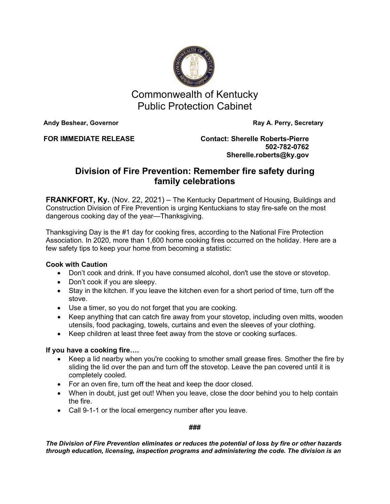

Commonwealth of Kentucky Public Protection Cabinet

**Andy Beshear, Governor Community Community Community Ray A. Perry, Secretary** 

**FOR IMMEDIATE RELEASE Contact: Sherelle Roberts-Pierre 502-782-0762 Sherelle.roberts@ky.gov**

## **Division of Fire Prevention: Remember fire safety during family celebrations**

**FRANKFORT, Ky.** (Nov. 22, 2021) – The Kentucky Department of Housing, Buildings and Construction Division of Fire Prevention is urging Kentuckians to stay fire-safe on the most dangerous cooking day of the year—Thanksgiving.

Thanksgiving Day is the #1 day for cooking fires, according to the National Fire Protection Association. In 2020, more than 1,600 home cooking fires occurred on the holiday. Here are a few safety tips to keep your home from becoming a statistic:

## **Cook with Caution**

- Don't cook and drink. If you have consumed alcohol, don't use the stove or stovetop.
- Don't cook if you are sleepy.
- Stay in the kitchen. If you leave the kitchen even for a short period of time, turn off the stove.
- Use a timer, so you do not forget that you are cooking.
- Keep anything that can catch fire away from your stovetop, including oven mitts, wooden utensils, food packaging, towels, curtains and even the sleeves of your clothing.
- Keep children at least three feet away from the stove or cooking surfaces.

## **If you have a cooking fire….**

- Keep a lid nearby when you're cooking to smother small grease fires. Smother the fire by sliding the lid over the pan and turn off the stovetop. Leave the pan covered until it is completely cooled.
- For an oven fire, turn off the heat and keep the door closed.
- When in doubt, just get out! When you leave, close the door behind you to help contain the fire.
- Call 9-1-1 or the local emergency number after you leave.

## **###**

*The Division of Fire Prevention eliminates or reduces the potential of loss by fire or other hazards through education, licensing, inspection programs and administering the code. The division is an*